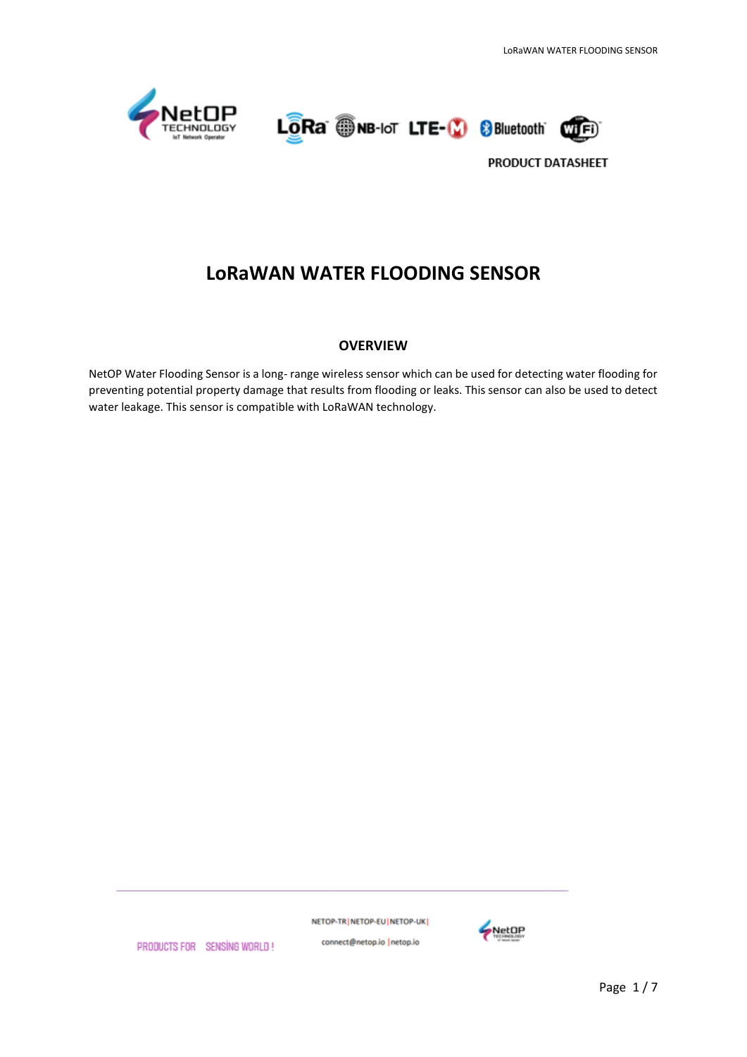





# **LoRaWAN WATER FLOODING SENSOR**

#### **OVERVIEW**

NetOP Water Flooding Sensor is a long- range wireless sensor which can be used for detecting water flooding for preventing potential property damage that results from flooding or leaks. This sensor can also be used to detect water leakage. This sensor is compatible with LoRaWAN technology.

NETOP-TR NETOP-EU NETOP-UK



PRODUCTS FOR SENSING WORLD!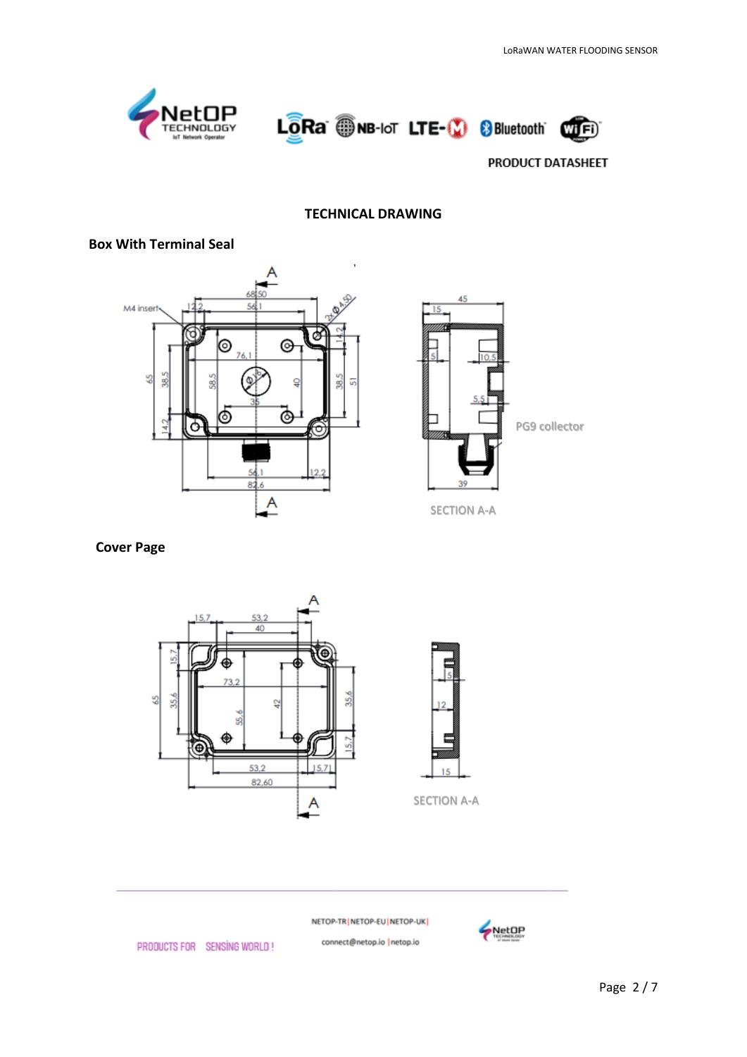





### **TECHNICAL DRAWING**

#### **Box With Terminal Seal**





 **Cover Page**





SECTION A-A

NETOP-TR | NETOP-EU | NETOP-UK |

connect@netop.io |netop.io



PRODUCTS FOR SENSING WORLD!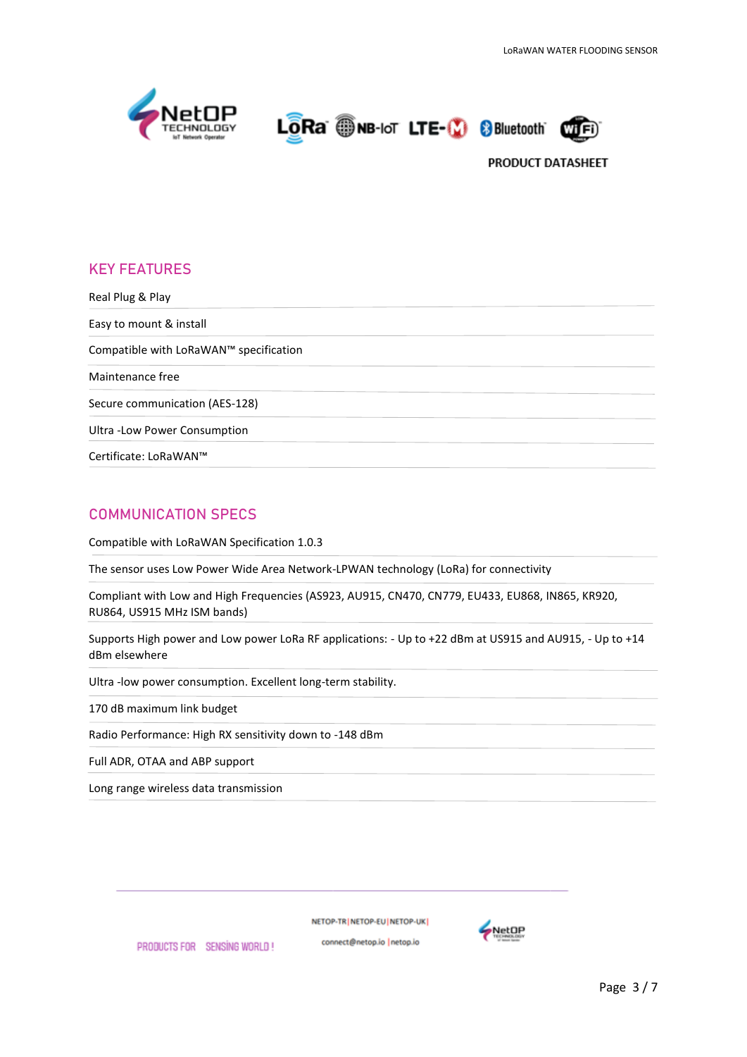





## **KEY FEATURES**

Real Plug & Play Easy to mount & install Compatible with LoRaWAN™ specification Maintenance free Secure communication (AES-128) Ultra -Low Power Consumption Certificate: LoRaWAN™

## **COMMUNICATION SPECS**

Compatible with LoRaWAN Specification 1.0.3

The sensor uses Low Power Wide Area Network-LPWAN technology (LoRa) for connectivity

Compliant with Low and High Frequencies (AS923, AU915, CN470, CN779, EU433, EU868, IN865, KR920, RU864, US915 MHz ISM bands)

Supports High power and Low power LoRa RF applications: - Up to +22 dBm at US915 and AU915, - Up to +14 dBm elsewhere

Ultra -low power consumption. Excellent long-term stability.

170 dB maximum link budget

Radio Performance: High RX sensitivity down to -148 dBm

Full ADR, OTAA and ABP support

Long range wireless data transmission

NETOP-TRINETOP-EUINETOP-UKI

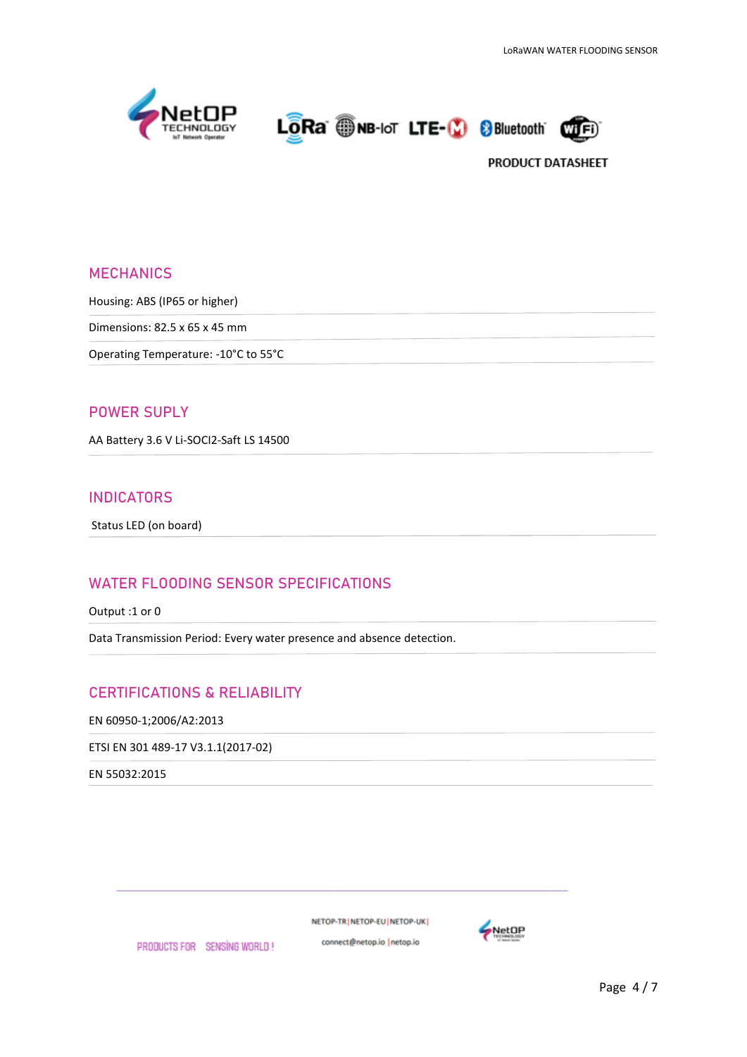





#### **MECHANICS**

Housing: ABS (IP65 or higher)

Dimensions: 82.5 x 65 x 45 mm

Operating Temperature: -10°C to 55°C

#### **POWER SUPLY**

AA Battery 3.6 V Li-SOCI2-Saft LS 14500

### **INDICATORS**

Status LED (on board)

### **WATER FLOODING SENSOR SPECIFICATIONS**

Output :1 or 0

Data Transmission Period: Every water presence and absence detection.

## **CERTIFICATIONS & RELIABILITY**

EN 60950-1;2006/A2:2013

ETSI EN 301 489-17 V3.1.1(2017-02)

EN 55032:2015

NETOP-TR NETOP-EU NETOP-UK

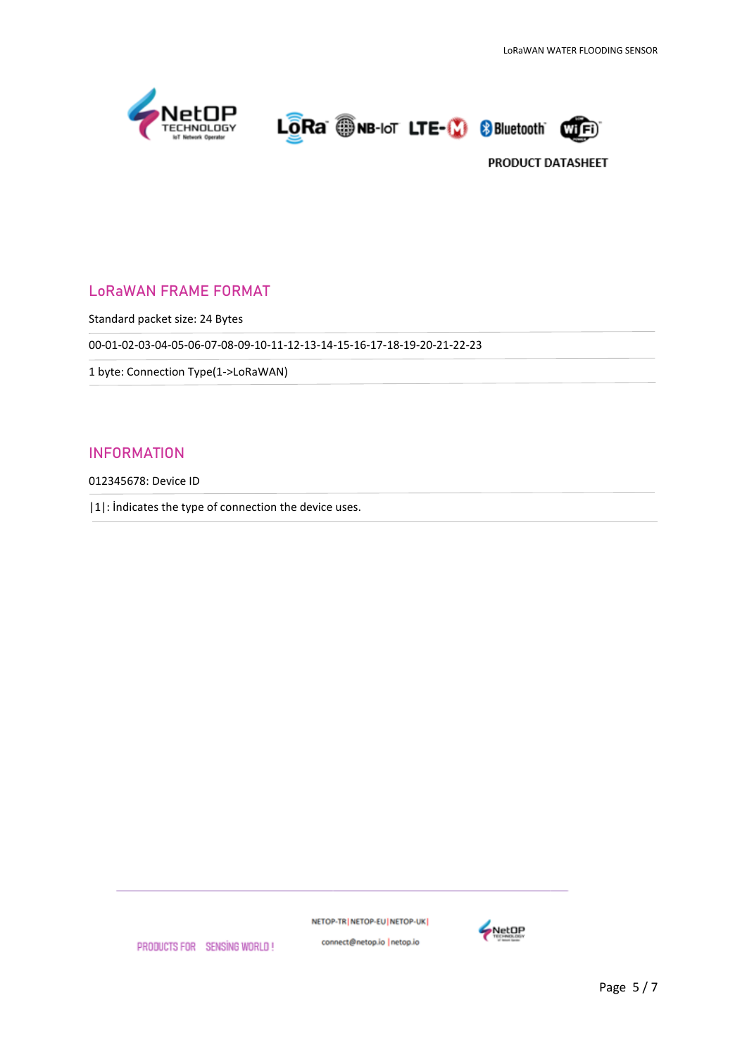





## **LoRaWAN FRAME FORMAT**

Standard packet size: 24 Bytes

00-01-02-03-04-05-06-07-08-09-10-11-12-13-14-15-16-17-18-19-20-21-22-23

1 byte: Connection Type(1->LoRaWAN)

#### **INFORMATION**

012345678: Device ID

|1|: İndicates the type of connection the device uses.

NETOP-TR | NETOP-EU | NETOP-UK |



PRODUCTS FOR SENSING WORLD!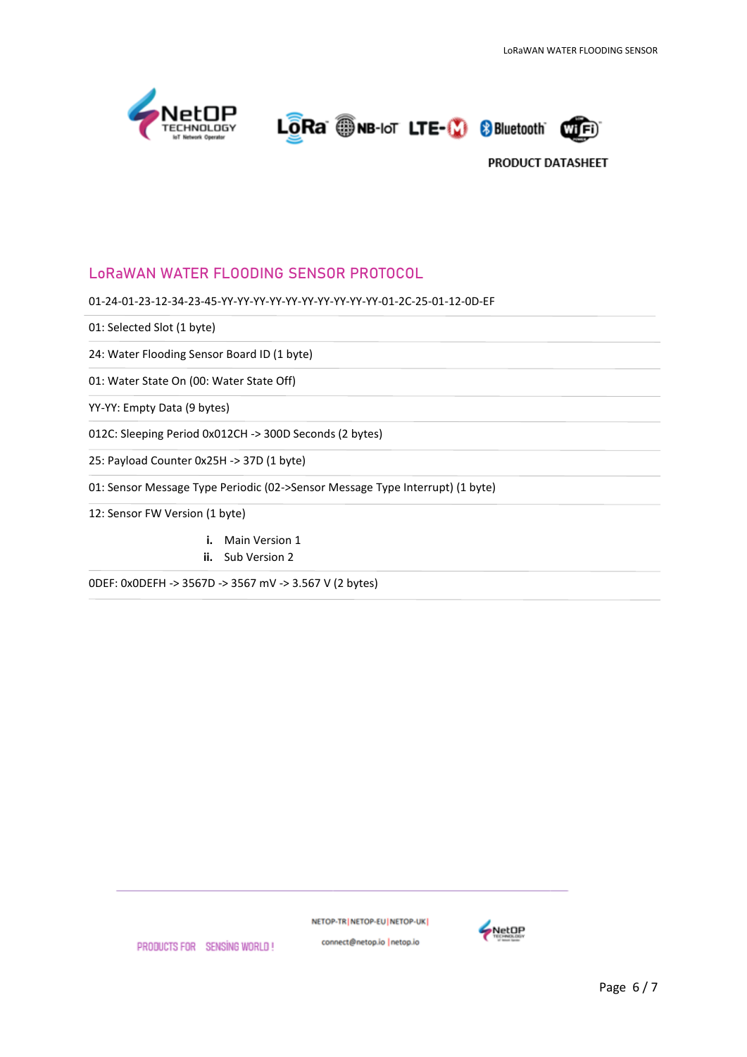





### **LoRaWAN WATER FLOODING SENSOR PROTOCOL**

01-24-01-23-12-34-23-45-YY-YY-YY-YY-YY-YY-YY-YY-YY-YY-01-2C-25-01-12-0D-EF

01: Selected Slot (1 byte)

24: Water Flooding Sensor Board ID (1 byte)

01: Water State On (00: Water State Off)

YY-YY: Empty Data (9 bytes)

012C: Sleeping Period 0x012CH -> 300D Seconds (2 bytes)

25: Payload Counter 0x25H -> 37D (1 byte)

01: Sensor Message Type Periodic (02->Sensor Message Type Interrupt) (1 byte)

12: Sensor FW Version (1 byte)

**i.** Main Version 1

**ii.** Sub Version 2

0DEF: 0x0DEFH -> 3567D -> 3567 mV -> 3.567 V (2 bytes)

NETOP-TR NETOP-EU NETOP-UK



PRODUCTS FOR SENSING WORLD!